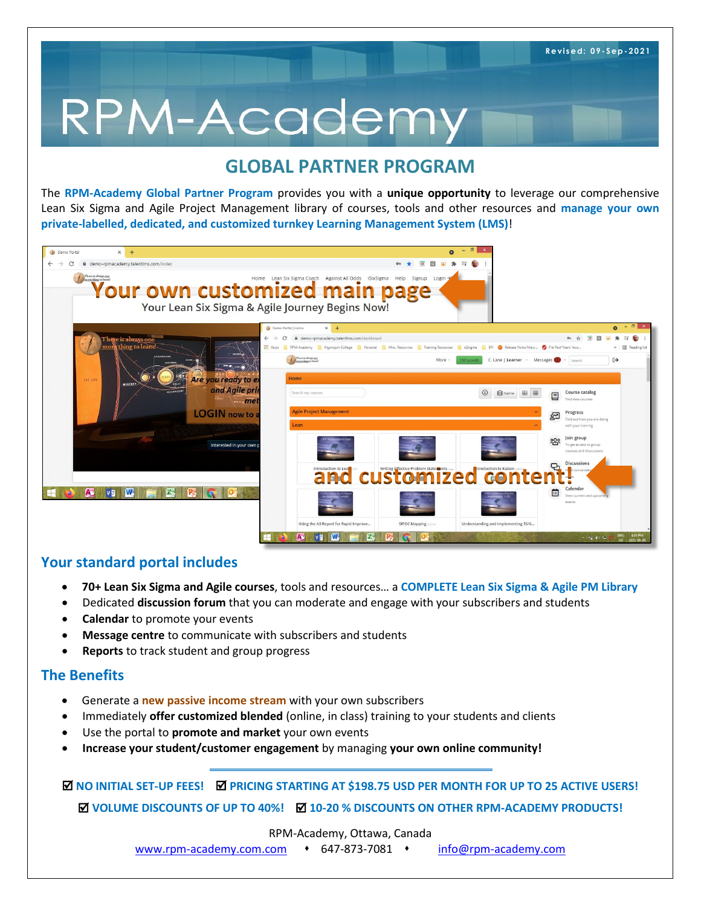# RPM-Academy

## **GLOBAL PARTNER PROGRAM**

The **RPM-Academy Global Partner Program** provides you with a **unique opportunity** to leverage our comprehensive Lean Six Sigma and Agile Project Management library of courses, tools and other resources and **manage your own private-labelled, dedicated, and customized turnkey Learning Management System (LMS)**!

| $\times$<br>$+$<br>Demo Portal<br>demo-rpmacademy.talentlms.com/index<br>There is always one | Your own customized main page<br>Your Lean Six Sigma & Agile Journey Begins Now!                                                      | $\Box$<br>$O_{T}$<br>$\blacksquare$<br>Login                                                                                                                                                      |                                                                                                                             |
|----------------------------------------------------------------------------------------------|---------------------------------------------------------------------------------------------------------------------------------------|---------------------------------------------------------------------------------------------------------------------------------------------------------------------------------------------------|-----------------------------------------------------------------------------------------------------------------------------|
| There is always one<br>more thing to learn                                                   | Demo Portal   Home<br>$x +$<br>demo-rpmacademy.talentims.com/dashboard<br>There is always one                                         | He Apps RPM-Academy Algonquin College Personal Misc Resources Training Resources & 23 igma BPI C Release Notes Marc @ File Past Years' Inco<br>C. Lane   Learner - Messages<br>More<br>100 points | $0 - 0$<br>$\overline{a}$<br><b>写 值</b><br>$\sqrt{6}$<br>»       Reading list<br>$\leftrightarrow$<br>Search                |
| THE SUN<br>MERCURY                                                                           | Are you ready to el<br>Home<br>and Agile pri<br>Search my courses<br>. ma<br><b>Agile Project Management</b><br>LOGIN now to:<br>Lean | <b>S</b> Name                                                                                                                                                                                     | Course catalog<br>目囲<br>囯<br>Find new courses<br>Progress<br><b>Dol</b><br>Find out how you are doing<br>with your training |
|                                                                                              | Interested in your own p<br>Introduction to Lea<br>and                                                                                | <b>CUSTOMIZed Conte</b>                                                                                                                                                                           | Join group<br><u> ၁၀</u><br>To get access to group<br>courses and discussions<br><b>Discussions</b><br>Ð                    |
| <b>W</b><br>r,<br>Æ<br>V <sub>3</sub>                                                        | Using the A3 Report for Rapid Improve                                                                                                 | Understanding and Implementing 5S/6<br>SIPOC Mapping                                                                                                                                              | Calendar<br>菌<br>View current and upcon<br>events<br>ENG 4:03 PM<br>$-724033$                                               |

### **Your standard portal includes**

- **70+ Lean Six Sigma and Agile courses**, tools and resources… a **COMPLETE Lean Six Sigma & Agile PM Library**
- Dedicated **discussion forum** that you can moderate and engage with your subscribers and students
- **Calendar** to promote your events
- **Message centre** to communicate with subscribers and students
- **Reports** to track student and group progress

### **The Benefits**

- Generate a **new passive income stream** with your own subscribers
- Immediately **offer customized blended** (online, in class) training to your students and clients
- Use the portal to **promote and market** your own events
- **Increase your student/customer engagement** by managing **your own online community!**

 $\blacksquare$  **NO INITIAL SET-UP FEES!**  $\blacksquare$  **PRICING STARTING AT \$198.75 USD PER MONTH FOR UP TO 25 ACTIVE USERS! VOLUME DISCOUNTS OF UP TO 40%! 10-20 % DISCOUNTS ON OTHER RPM-ACADEMY PRODUCTS!**

RPM-Academy, Ottawa, Canada

[www.rpm-academy.com.com](http://www.rpm-academy.com.com/)  647-873-7081 [info@rpm-academy.com](mailto:info@rpm-academy.com)